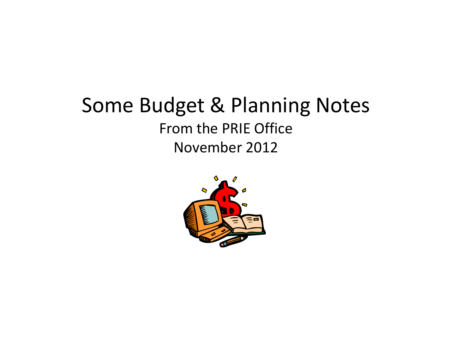### Some Budget & Planning Notes From the PRIE Office November 2012

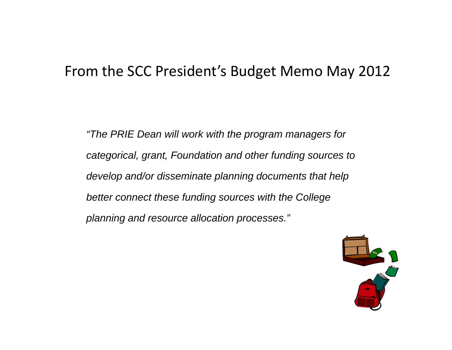#### From the SCC President's Budget Memo May 2012

*"The PRIE Dean will work with the program managers for*  categorical, grant, Foundation and other funding sources to *develop and/or disseminate planning documents that help better connect these funding sources with the College connect the planning and resource allocation processes."*

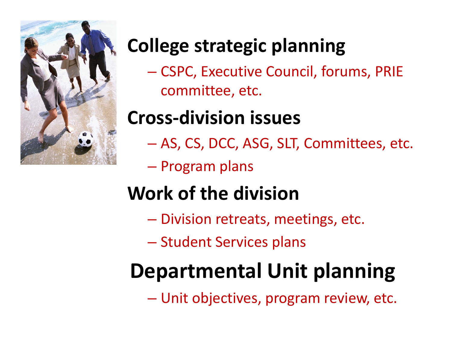

### **College strategic planning**

— CSPC, Executive Council, forums, PRIE committee, etc.

# **Cross‐division issues**

- $\mathcal{L}_{\mathcal{A}}$ AS, CS, DCC, ASG, SLT, Committees, etc.
- $\mathcal{L}_{\mathcal{A}}$  , and the set of the set of the set of the set of the set of the set of the set of the set of the set of the set of the set of the set of the set of the set of the set of the set of the set of the set of th Program plans

# **Work of the division**

- –– Division retreats, meetings, etc.
- Student Services plans

# **Departmental Unit planning**

 $\mathcal{L}_{\mathcal{A}}$  , and the set of the set of the set of the set of the set of the set of the set of the set of the set of the set of the set of the set of the set of the set of the set of the set of the set of the set of th Unit objectives, program review, etc.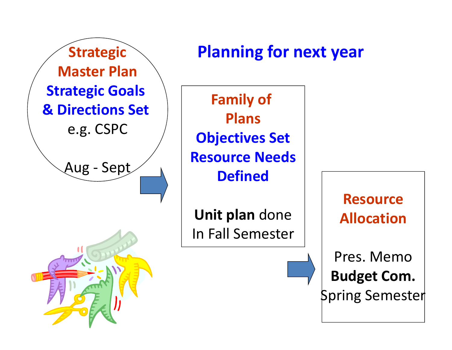

**Unit plan** done In Fall Semester

**ResourceAllocation**

Pres. Memo**Budget Com.** Spring Semester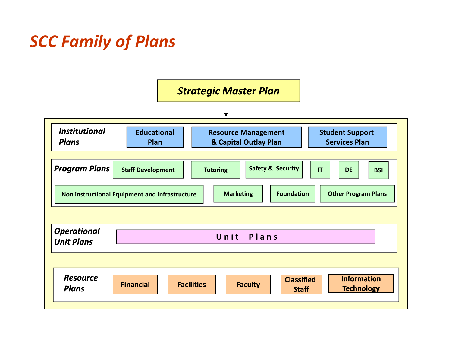#### *SCC Family of Plans*

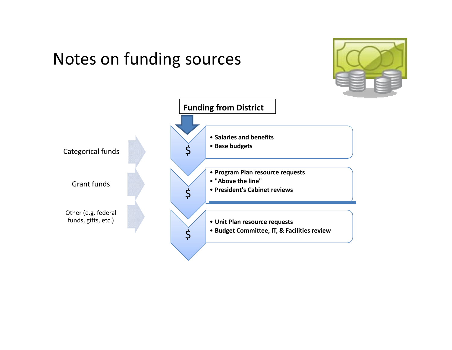#### Notes on funding sources

![](_page_5_Picture_1.jpeg)

![](_page_5_Figure_2.jpeg)